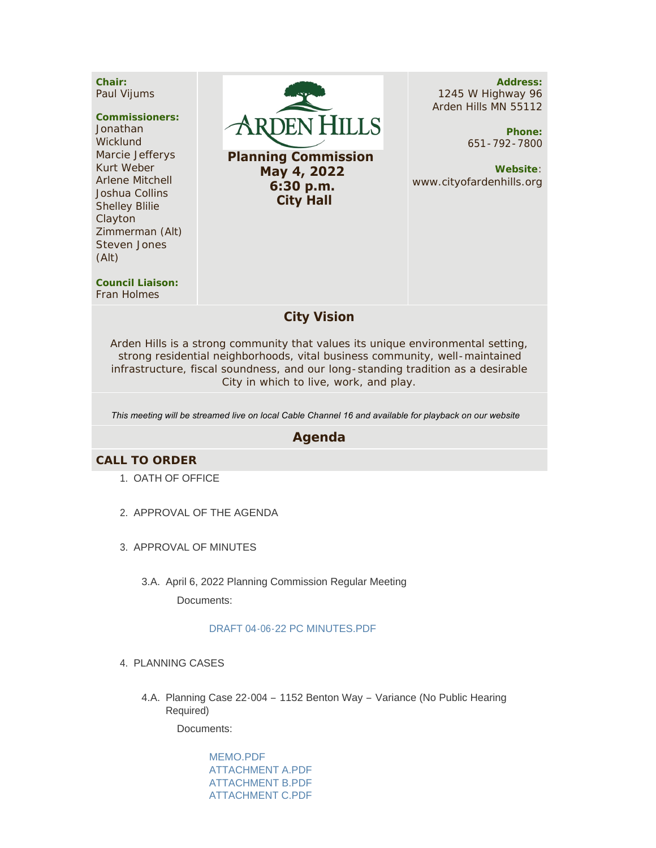**Chair:** Paul Vijums

#### **Commissioners:**

Jonathan **Wicklund** Marcie Jefferys Kurt Weber Arlene Mitchell Joshua Collins Shelley Blilie Clayton Zimmerman (Alt) Steven Jones (Alt)



 **May 4, 2022 6:30 p.m. City Hall**

**Address:** 1245 W Highway 96 Arden Hills MN 55112

> **Phone:** 651-792-7800

**Website**: www.cityofardenhills.org

**Council Liaison:** Fran Holmes

## **City Vision**

Arden Hills is a strong community that values its unique environmental setting, strong residential neighborhoods, vital business community, well-maintained infrastructure, fiscal soundness, and our long-standing tradition as a desirable City in which to live, work, and play.

*This meeting will be streamed live on local Cable Channel 16 and available for playback on our website* 

### **Agenda**

#### **CALL TO ORDER**

- 1. OATH OF OFFICE
- 2. APPROVAL OF THE AGENDA
- 3. APPROVAL OF MINUTES
	- 3.A. April 6, 2022 Planning Commission Regular Meeting Documents:

#### [DRAFT 04-06-22 PC MINUTES.PDF](https://www.cityofardenhills.org/AgendaCenter/ViewFile/Item/8910?fileID=13701)

- 4. PLANNING CASES
	- 4.A. Planning Case 22-004 1152 Benton Way Variance (No Public Hearing Required)

Documents:

[MEMO.PDF](https://www.cityofardenhills.org/AgendaCenter/ViewFile/Item/8912?fileID=13708) [ATTACHMENT A.PDF](https://www.cityofardenhills.org/AgendaCenter/ViewFile/Item/8912?fileID=13709) [ATTACHMENT B.PDF](https://www.cityofardenhills.org/AgendaCenter/ViewFile/Item/8912?fileID=13710) [ATTACHMENT C.PDF](https://www.cityofardenhills.org/AgendaCenter/ViewFile/Item/8912?fileID=13711)